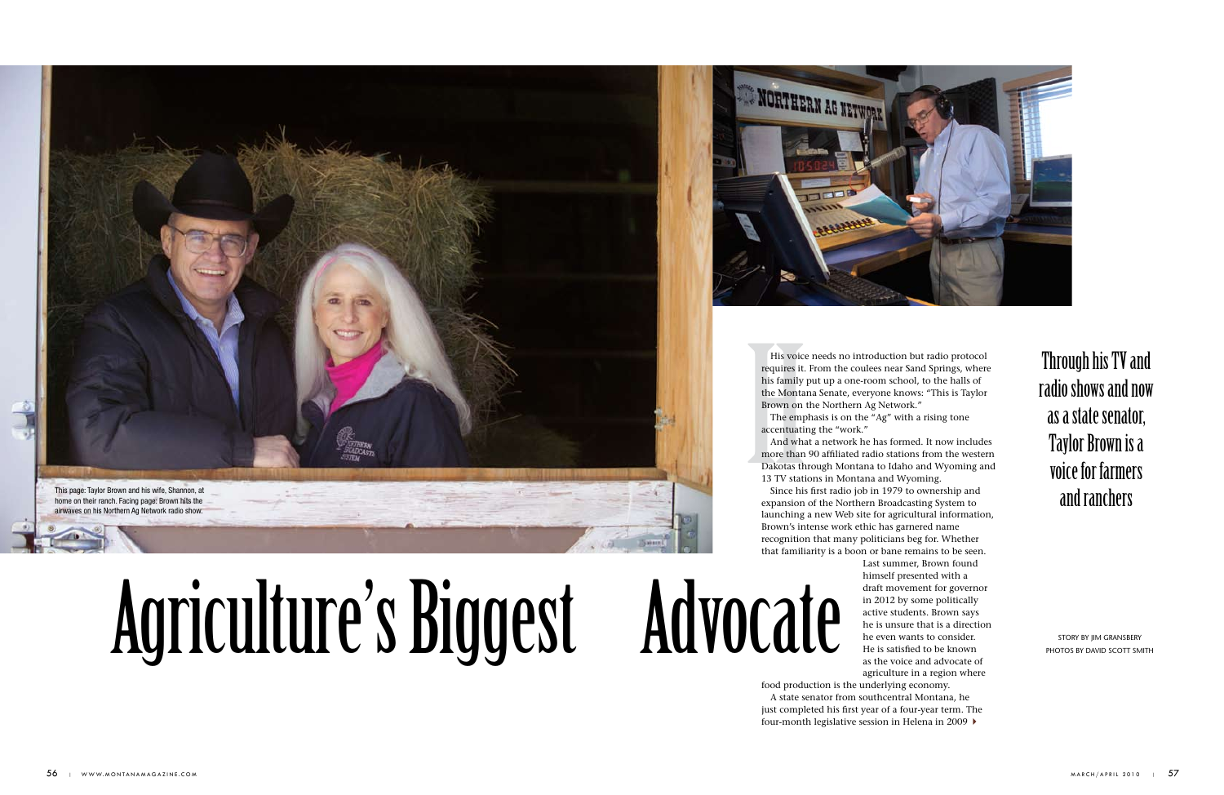Through his TV and radio shows and now as a state senator, Taylor Brown is a voice for farmers and ranchers

# Agriculture's Biggest Advocate



Story by Jim Gransbery PHOTOS BY DAVID SCOTT SMITH

Last summer, Brown found himself presented with a draft movement for governor in 2012 by some politically active students. Brown says he is unsure that is a direction he even wants to consider. He is satisfied to be known as the voice and advocate of agriculture in a region where

food production is the underlying economy. A state senator from southcentral Montana, he just completed his first year of a four-year term. The four-month legislative session in Helena in 2009 }

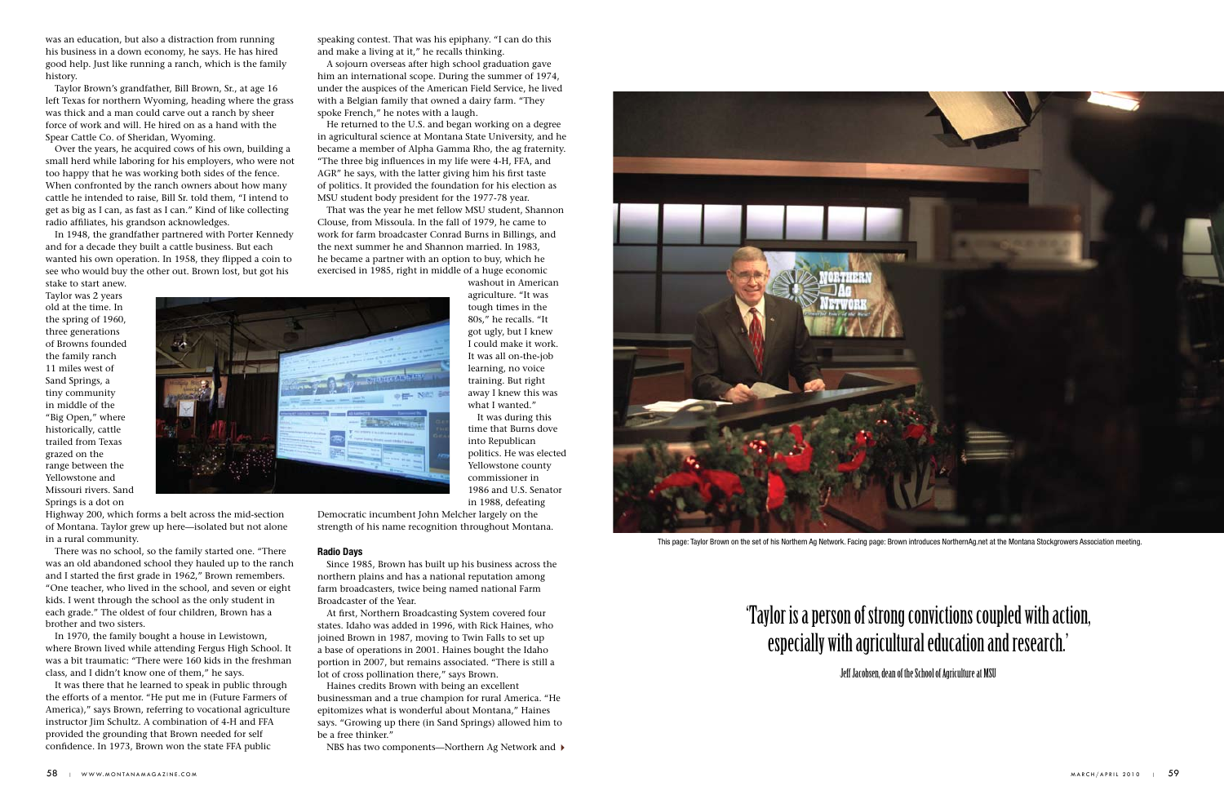was an education, but also a distraction from running his business in a down economy, he says. He has hired good help. Just like running a ranch, which is the family history.

Taylor Brown's grandfather, Bill Brown, Sr., at age 16 left Texas for northern Wyoming, heading where the grass was thick and a man could carve out a ranch by sheer force of work and will. He hired on as a hand with the Spear Cattle Co. of Sheridan, Wyoming.

Over the years, he acquired cows of his own, building a small herd while laboring for his employers, who were not too happy that he was working both sides of the fence. When confronted by the ranch owners about how many cattle he intended to raise, Bill Sr. told them, "I intend to get as big as I can, as fast as I can." Kind of like collecting radio affiliates, his grandson acknowledges.

In 1948, the grandfather partnered with Porter Kennedy and for a decade they built a cattle business. But each wanted his own operation. In 1958, they flipped a coin to see who would buy the other out. Brown lost, but got his

stake to start anew. Taylor was 2 years old at the time. In the spring of 1960, three generations of Browns founded the family ranch 11 miles west of Sand Springs, a tiny community in middle of the "Big Open," where historically, cattle trailed from Texas grazed on the range between the Yellowstone and Missouri rivers. Sand Springs is a dot on



Highway 200, which forms a belt across the mid-section of Montana. Taylor grew up here—isolated but not alone in a rural community.

There was no school, so the family started one. "There was an old abandoned school they hauled up to the ranch and I started the first grade in 1962," Brown remembers. "One teacher, who lived in the school, and seven or eight kids. I went through the school as the only student in each grade." The oldest of four children, Brown has a brother and two sisters.

In 1970, the family bought a house in Lewistown, where Brown lived while attending Fergus High School. It was a bit traumatic: "There were 160 kids in the freshman class, and I didn't know one of them," he says.

It was there that he learned to speak in public through the efforts of a mentor. "He put me in (Future Farmers of America)," says Brown, referring to vocational agriculture instructor Jim Schultz. A combination of 4-H and FFA provided the grounding that Brown needed for self confidence. In 1973, Brown won the state FFA public

speaking contest. That was his epiphany. "I can do this and make a living at it," he recalls thinking.

A sojourn overseas after high school graduation gave him an international scope. During the summer of 1974, under the auspices of the American Field Service, he lived with a Belgian family that owned a dairy farm. "They spoke French," he notes with a laugh.

He returned to the U.S. and began working on a degree in agricultural science at Montana State University, and he became a member of Alpha Gamma Rho, the ag fraternity. "The three big influences in my life were 4-H, FFA, and AGR" he says, with the latter giving him his first taste of politics. It provided the foundation for his election as MSU student body president for the 1977-78 year.

That was the year he met fellow MSU student, Shannon Clouse, from Missoula. In the fall of 1979, he came to work for farm broadcaster Conrad Burns in Billings, and the next summer he and Shannon married. In 1983, he became a partner with an option to buy, which he exercised in 1985, right in middle of a huge economic

washout in American agriculture. "It was tough times in the 80s," he recalls. "It got ugly, but I knew I could make it work. It was all on-the-job learning, no voice training. But right away I knew this was what I wanted."

It was during this time that Burns dove into Republican politics. He was elected Yellowstone county commissioner in 1986 and U.S. Senator in 1988, defeating

Democratic incumbent John Melcher largely on the strength of his name recognition throughout Montana.

### **Radio Days**

Since 1985, Brown has built up his business across the northern plains and has a national reputation among farm broadcasters, twice being named national Farm Broadcaster of the Year.

At first, Northern Broadcasting System covered four states. Idaho was added in 1996, with Rick Haines, who joined Brown in 1987, moving to Twin Falls to set up a base of operations in 2001. Haines bought the Idaho portion in 2007, but remains associated. "There is still a lot of cross pollination there," says Brown.

Haines credits Brown with being an excellent businessman and a true champion for rural America. "He epitomizes what is wonderful about Montana," Haines says. "Growing up there (in Sand Springs) allowed him to be a free thinker."

NBS has two components—Northern Ag Network and  $\blacktriangleright$ 

## 'Taylor is a person of strong convictions coupled with action, especially with agricultural education and research.'

Jeff Jacobsen, dean of the School of Agriculture at MSU



This page: Taylor Brown on the set of his Northern Ag Network. Facing page: Brown introduces NorthernAg.net at the Montana Stockgrowers Association meeting.